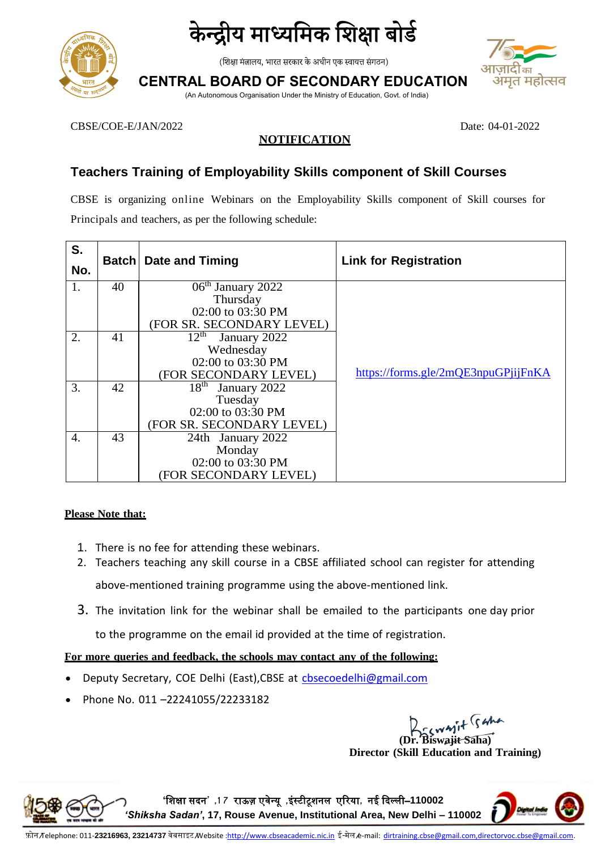



(शिक्षा मंत्रालय, भारत सरकार के अधीन एक स्वायत्त संगठन)

# **CENTRAL BOARD OF SECONDARY EDUCATION**

(An Autonomous Organisation Under the Ministry of Education, Govt. of India)



CBSE/COE-E/JAN/2022 Date: 04-01-2022

## **NOTIFICATION**

### **Teachers Training of Employability Skills component of Skill Courses**

CBSE is organizing online Webinars on the Employability Skills component of Skill courses for Principals and teachers, as per the following schedule:

| S.<br>No.        |    | <b>Batch Date and Timing</b> | <b>Link for Registration</b>        |
|------------------|----|------------------------------|-------------------------------------|
| 1.               | 40 | 06th January 2022            |                                     |
|                  |    | Thursday                     |                                     |
|                  |    | 02:00 to 03:30 PM            |                                     |
|                  |    | (FOR SR. SECONDARY LEVEL)    |                                     |
| 2.               | 41 | $12^{th}$<br>January 2022    |                                     |
|                  |    | Wednesday                    |                                     |
|                  |    | 02:00 to 03:30 PM            |                                     |
|                  |    | (FOR SECONDARY LEVEL)        | https://forms.gle/2mQE3npuGPjijFnKA |
| 3.               | 42 | $18th$ January 2022          |                                     |
|                  |    | Tuesday                      |                                     |
|                  |    | 02:00 to 03:30 PM            |                                     |
|                  |    | (FOR SR. SECONDARY LEVEL)    |                                     |
| $\overline{4}$ . | 43 | 24th January 2022            |                                     |
|                  |    | Monday                       |                                     |
|                  |    | 02:00 to 03:30 PM            |                                     |
|                  |    | (FOR SECONDARY LEVEL)        |                                     |

#### **Please Note that:**

- 1. There is no fee for attending these webinars.
- 2. Teachers teaching any skill course in a CBSE affiliated school can register for attending above-mentioned training programme using the above-mentioned link.
- 3. The invitation link for the webinar shall be emailed to the participants one day prior to the programme on the email id provided at the time of registration.

#### **For more queries and feedback, the schools may contact any of the following:**

- Deputy Secretary, COE Delhi (East), CBSE at chsecoedelhi@gmail.com
- Phone No. 011-22241055/22233182

**(Dr. Biswajit Saha) Director (Skill Education and Training)**



**'**शिक्षा सदन**' ,1 7** राऊज़ एवेन्यू **,**इंस्टीटूिनल एररया**,** नई ददल्ली–**110002**  *'Shiksha Sadan'***, 17, Rouse Avenue, Institutional Area, New Delhi – 110002**